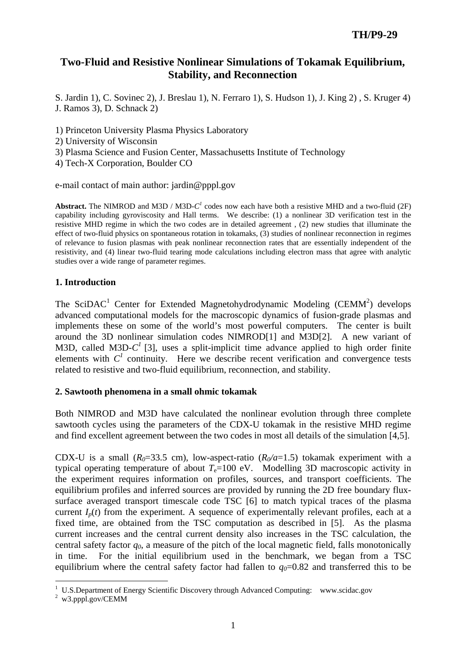# **Two-Fluid and Resistive Nonlinear Simulations of Tokamak Equilibrium, Stability, and Reconnection**

S. Jardin 1), C. Sovinec 2), J. Breslau 1), N. Ferraro 1), S. Hudson 1), J. King 2) , S. Kruger 4) J. Ramos 3), D. Schnack 2)

1) Princeton University Plasma Physics Laboratory

2) University of Wisconsin

3) Plasma Science and Fusion Center, Massachusetts Institute of Technology

4) Tech-X Corporation, Boulder CO

e-mail contact of main author: jardin@pppl.gov

**Abstract.** The NIMROD and M3D / M3D- $C<sup>1</sup>$  codes now each have both a resistive MHD and a two-fluid (2F) capability including gyroviscosity and Hall terms. We describe: (1) a nonlinear 3D verification test in the resistive MHD regime in which the two codes are in detailed agreement , (2) new studies that illuminate the effect of two-fluid physics on spontaneous rotation in tokamaks, (3) studies of nonlinear reconnection in regimes of relevance to fusion plasmas with peak nonlinear reconnection rates that are essentially independent of the resistivity, and (4) linear two-fluid tearing mode calculations including electron mass that agree with analytic studies over a wide range of parameter regimes.

## **1. Introduction**

The SciDAC<sup>1</sup> Center for Extended Magnetohydrodynamic Modeling (CEMM<sup>2</sup>) develops advanced computational models for the macroscopic dynamics of fusion-grade plasmas and implements these on some of the world's most powerful computers. The center is built around the 3D nonlinear simulation codes NIMROD[1] and M3D[2]. A new variant of M3D, called M3D- $C^1$  [3], uses a split-implicit time advance applied to high order finite elements with  $C<sup>1</sup>$  continuity. Here we describe recent verification and convergence tests related to resistive and two-fluid equilibrium, reconnection, and stability.

#### **2. Sawtooth phenomena in a small ohmic tokamak**

Both NIMROD and M3D have calculated the nonlinear evolution through three complete sawtooth cycles using the parameters of the CDX-U tokamak in the resistive MHD regime and find excellent agreement between the two codes in most all details of the simulation [4,5].

CDX-U is a small ( $R_0$ =33.5 cm), low-aspect-ratio ( $R_0/a$ =1.5) tokamak experiment with a typical operating temperature of about  $T_e=100$  eV. Modelling 3D macroscopic activity in the experiment requires information on profiles, sources, and transport coefficients. The equilibrium profiles and inferred sources are provided by running the 2D free boundary fluxsurface averaged transport timescale code TSC [6] to match typical traces of the plasma current  $I_n(t)$  from the experiment. A sequence of experimentally relevant profiles, each at a fixed time, are obtained from the TSC computation as described in [5]. As the plasma current increases and the central current density also increases in the TSC calculation, the central safety factor *q0*, a measure of the pitch of the local magnetic field, falls monotonically in time. For the initial equilibrium used in the benchmark, we began from a TSC equilibrium where the central safety factor had fallen to  $q_0$ =0.82 and transferred this to be

 $\overline{a}$ <sup>1</sup> U.S.Department of Energy Scientific Discovery through Advanced Computing: www.scidac.gov

<sup>&</sup>lt;sup>2</sup> w3.pppl.gov/CEMM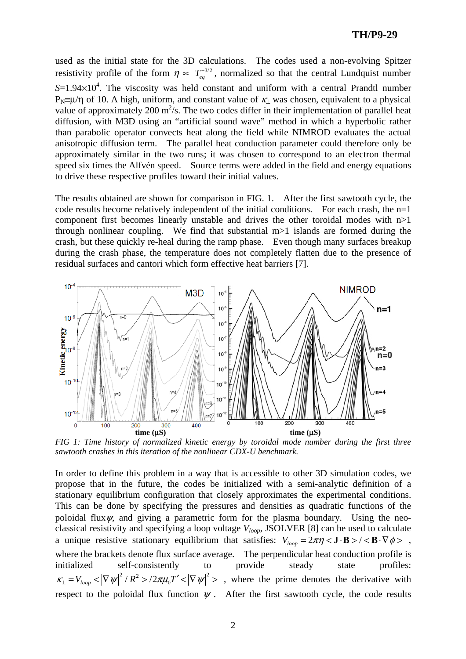used as the initial state for the 3D calculations. The codes used a non-evolving Spitzer resistivity profile of the form  $\eta \propto T_{eq}^{-3/2}$ , normalized so that the central Lundquist number  $S=1.94\times10^{4}$ . The viscosity was held constant and uniform with a central Prandtl number  $P_N \equiv \mu/n$  of 10. A high, uniform, and constant value of  $\kappa_1$  was chosen, equivalent to a physical value of approximately 200  $m^2/s$ . The two codes differ in their implementation of parallel heat diffusion, with M3D using an "artificial sound wave" method in which a hyperbolic rather than parabolic operator convects heat along the field while NIMROD evaluates the actual anisotropic diffusion term. The parallel heat conduction parameter could therefore only be approximately similar in the two runs; it was chosen to correspond to an electron thermal speed six times the Alfvén speed. Source terms were added in the field and energy equations to drive these respective profiles toward their initial values.

The results obtained are shown for comparison in FIG. 1. After the first sawtooth cycle, the code results become relatively independent of the initial conditions. For each crash, the n=1 component first becomes linearly unstable and drives the other toroidal modes with n>1 through nonlinear coupling. We find that substantial  $m>1$  islands are formed during the crash, but these quickly re-heal during the ramp phase. Even though many surfaces breakup during the crash phase, the temperature does not completely flatten due to the presence of residual surfaces and cantori which form effective heat barriers [7].



*FIG 1: Time history of normalized kinetic energy by toroidal mode number during the first three sawtooth crashes in this iteration of the nonlinear CDX-U benchmark.* 

In order to define this problem in a way that is accessible to other 3D simulation codes, we propose that in the future, the codes be initialized with a semi-analytic definition of a stationary equilibrium configuration that closely approximates the experimental conditions. This can be done by specifying the pressures and densities as quadratic functions of the poloidal flux  $\psi$ , and giving a parametric form for the plasma boundary. Using the neoclassical resistivity and specifying a loop voltage *Vloop*, JSOLVER [8] can be used to calculate a unique resistive stationary equilibrium that satisfies:  $V_{loop} = 2\pi\eta < \mathbf{J} \cdot \mathbf{B}$  >  $/ < \mathbf{B} \cdot \nabla \phi$  >, where the brackets denote flux surface average. The perpendicular heat conduction profile is initialized self-consistently to provide steady state profiles:  $K_{\perp} = V_{loop} < |\nabla \psi|^2 / R^2 > 2\pi \mu_0 T' < |\nabla \psi|^2 >$ , where the prime denotes the derivative with respect to the poloidal flux function  $\psi$ . After the first sawtooth cycle, the code results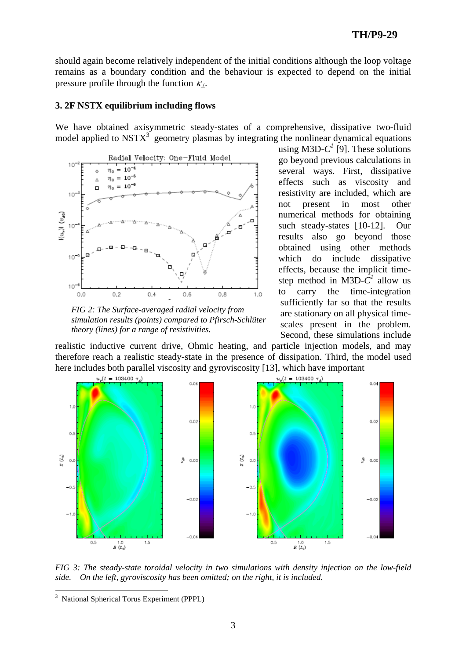should again become relatively independent of the initial conditions although the loop voltage remains as a boundary condition and the behaviour is expected to depend on the initial pressure profile through the function  $\kappa$ .

#### **3. 2F NSTX equilibrium including flows**

We have obtained axisymmetric steady-states of a comprehensive, dissipative two-fluid model applied to  $NSTX<sup>3</sup>$  geometry plasmas by integrating the nonlinear dynamical equations



*FIG 2: The Surface-averaged radial velocity from simulation results (points) compared to Pfirsch-Schlüter theory (lines) for a range of resistivities.* 

using M3D- $C^1$  [9]. These solutions go beyond previous calculations in several ways. First, dissipative effects such as viscosity and resistivity are included, which are not present in most other numerical methods for obtaining such steady-states [10-12]. Our results also go beyond those obtained using other methods which do include dissipative effects, because the implicit timestep method in M3D- $\tilde{C}^I$  allow us to carry the time-integration sufficiently far so that the results are stationary on all physical timescales present in the problem. Second, these simulations include

realistic inductive current drive, Ohmic heating, and particle injection models, and may therefore reach a realistic steady-state in the presence of dissipation. Third, the model used here includes both parallel viscosity and gyroviscosity [13], which have important



*FIG 3: The steady-state toroidal velocity in two simulations with density injection on the low-field side. On the left, gyroviscosity has been omitted; on the right, it is included.* 

 $\overline{a}$ 

<sup>&</sup>lt;sup>3</sup> National Spherical Torus Experiment (PPPL)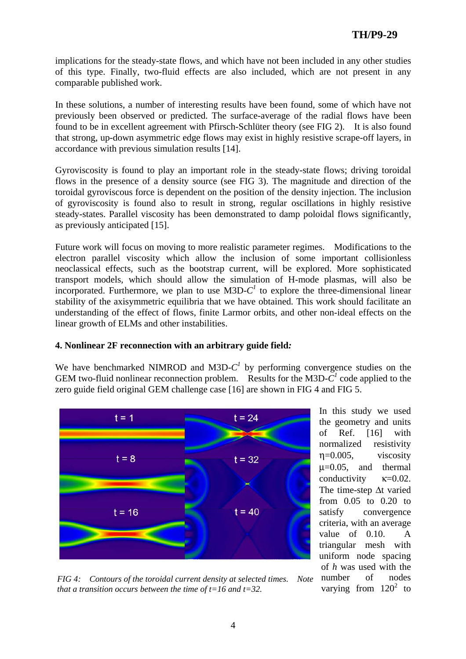implications for the steady-state flows, and which have not been included in any other studies of this type. Finally, two-fluid effects are also included, which are not present in any comparable published work.

In these solutions, a number of interesting results have been found, some of which have not previously been observed or predicted. The surface-average of the radial flows have been found to be in excellent agreement with Pfirsch-Schlüter theory (see FIG 2). It is also found that strong, up-down asymmetric edge flows may exist in highly resistive scrape-off layers, in accordance with previous simulation results [14].

Gyroviscosity is found to play an important role in the steady-state flows; driving toroidal flows in the presence of a density source (see FIG 3). The magnitude and direction of the toroidal gyroviscous force is dependent on the position of the density injection. The inclusion of gyroviscosity is found also to result in strong, regular oscillations in highly resistive steady-states. Parallel viscosity has been demonstrated to damp poloidal flows significantly, as previously anticipated [15].

Future work will focus on moving to more realistic parameter regimes. Modifications to the electron parallel viscosity which allow the inclusion of some important collisionless neoclassical effects, such as the bootstrap current, will be explored. More sophisticated transport models, which should allow the simulation of H-mode plasmas, will also be incorporated. Furthermore, we plan to use  $M3D-C<sup>1</sup>$  to explore the three-dimensional linear stability of the axisymmetric equilibria that we have obtained. This work should facilitate an understanding of the effect of flows, finite Larmor orbits, and other non-ideal effects on the linear growth of ELMs and other instabilities.

## **4. Nonlinear 2F reconnection with an arbitrary guide field***:*

We have benchmarked NIMROD and M3D- $C<sup>1</sup>$  by performing convergence studies on the GEM two-fluid nonlinear reconnection problem. Results for the M3D- $C<sup>1</sup>$  code applied to the zero guide field original GEM challenge case [16] are shown in FIG 4 and FIG 5.



In this study we used the geometry and units of Ref. [16] with normalized resistivity η=0.005, viscosity  $\mu$ =0.05, and thermal conductivity  $\kappa=0.02$ . The time-step Δt varied from 0.05 to 0.20 to satisfy convergence criteria, with an average value of 0.10. A triangular mesh with uniform node spacing of *h* was used with the number of nodes varying from  $120^2$  to

*FIG 4: Contours of the toroidal current density at selected times. Note that a transition occurs between the time of t=16 and t=32.*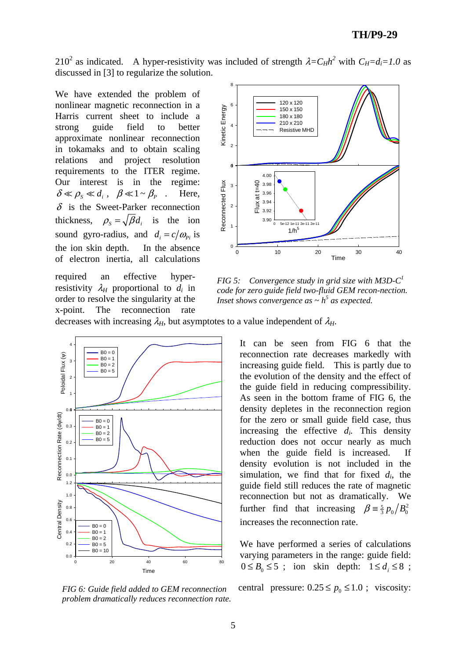210<sup>2</sup> as indicated. A hyper-resistivity was included of strength  $\lambda = C_H h^2$  with  $C_H = d_i = 1.0$  as discussed in [3] to regularize the solution.

We have extended the problem of nonlinear magnetic reconnection in a Harris current sheet to include a strong guide field to better approximate nonlinear reconnection in tokamaks and to obtain scaling relations and project resolution requirements to the ITER regime. Our interest is in the regime:  $\delta \ll \rho_{\rm s} \ll d_i$ ,  $\beta \ll 1 \sim \beta_{\rm p}$ . Here,  $\delta$  is the Sweet-Parker reconnection thickness,  $\rho_s = \sqrt{\beta} d_i$  is the ion sound gyro-radius, and  $d_i = c/\omega_{p_i}$  is the ion skin depth. In the absence of electron inertia, all calculations

required an effective hyperresistivity  $\lambda_H$  proportional to  $d_i$  in order to resolve the singularity at the x-point. The reconnection rate



*FIG 5: Convergence study in grid size with M3D-C1 code for zero guide field two-fluid GEM recon-nection. Inset shows convergence as*  $\sim h^5$  *as expected.* 

decreases with increasing  $\lambda_H$ , but asymptotes to a value independent of  $\lambda_H$ .



*FIG 6: Guide field added to GEM reconnection problem dramatically reduces reconnection rate.*

It can be seen from FIG 6 that the reconnection rate decreases markedly with increasing guide field. This is partly due to the evolution of the density and the effect of the guide field in reducing compressibility. As seen in the bottom frame of FIG 6, the density depletes in the reconnection region for the zero or small guide field case, thus increasing the effective *di.* This density reduction does not occur nearly as much when the guide field is increased. If density evolution is not included in the simulation, we find that for fixed *di*, the guide field still reduces the rate of magnetic reconnection but not as dramatically. We further find that increasing  $\beta = \frac{5}{3} p_0 / B_0^2$ increases the reconnection rate.

We have performed a series of calculations varying parameters in the range: guide field:  $0 \leq B_0 \leq 5$ ; ion skin depth:  $1 \leq d_i \leq 8$ ;

central pressure:  $0.25 \le p_0 \le 1.0$ ; viscosity: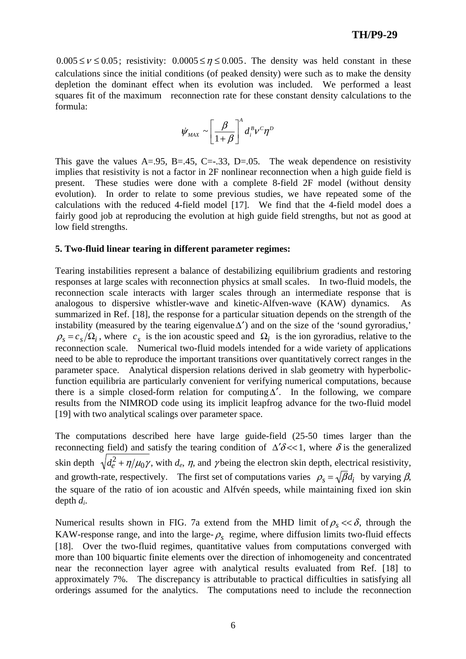## **TH/P9-29**

 $0.005 \le v \le 0.05$ ; resistivity:  $0.0005 \le \eta \le 0.005$ . The density was held constant in these calculations since the initial conditions (of peaked density) were such as to make the density depletion the dominant effect when its evolution was included. We performed a least squares fit of the maximum reconnection rate for these constant density calculations to the formula:

$$
\dot{\psi}_{MAX} \sim \left[\frac{\beta}{1+\beta}\right]^A d_i^B v^C \eta^D
$$

This gave the values  $A = .95$ ,  $B = .45$ ,  $C = .33$ ,  $D = .05$ . The weak dependence on resistivity implies that resistivity is not a factor in 2F nonlinear reconnection when a high guide field is present. These studies were done with a complete 8-field 2F model (without density evolution). In order to relate to some previous studies, we have repeated some of the calculations with the reduced 4-field model [17]. We find that the 4-field model does a fairly good job at reproducing the evolution at high guide field strengths, but not as good at low field strengths.

#### **5. Two-fluid linear tearing in different parameter regimes:**

Tearing instabilities represent a balance of destabilizing equilibrium gradients and restoring responses at large scales with reconnection physics at small scales. In two-fluid models, the reconnection scale interacts with larger scales through an intermediate response that is analogous to dispersive whistler-wave and kinetic-Alfven-wave (KAW) dynamics. As summarized in Ref. [18], the response for a particular situation depends on the strength of the instability (measured by the tearing eigenvalue  $\Delta'$ ) and on the size of the 'sound gyroradius,'  $\rho_s = c_s/\Omega_i$ , where  $c_s$  is the ion acoustic speed and  $\Omega_i$  is the ion gyroradius, relative to the reconnection scale. Numerical two-fluid models intended for a wide variety of applications need to be able to reproduce the important transitions over quantitatively correct ranges in the parameter space. Analytical dispersion relations derived in slab geometry with hyperbolicfunction equilibria are particularly convenient for verifying numerical computations, because there is a simple closed-form relation for computing  $\Delta'$ . In the following, we compare results from the NIMROD code using its implicit leapfrog advance for the two-fluid model [19] with two analytical scalings over parameter space.

The computations described here have large guide-field (25-50 times larger than the reconnecting field) and satisfy the tearing condition of  $\Delta' \delta \ll 1$ , where  $\delta$  is the generalized skin depth  $\sqrt{d_e^2 + \eta/\mu_0 \gamma}$ , with  $d_e$ ,  $\eta$ , and  $\gamma$  being the electron skin depth, electrical resistivity, and growth-rate, respectively. The first set of computations varies  $\rho_s = \sqrt{\beta}d_i$  by varying  $\beta$ , the square of the ratio of ion acoustic and Alfvén speeds, while maintaining fixed ion skin depth *di*.

Numerical results shown in FIG. 7a extend from the MHD limit of  $\rho_s \ll \delta$ , through the KAW-response range, and into the large- $\rho_s$  regime, where diffusion limits two-fluid effects [18]. Over the two-fluid regimes, quantitative values from computations converged with more than 100 biquartic finite elements over the direction of inhomogeneity and concentrated near the reconnection layer agree with analytical results evaluated from Ref. [18] to approximately 7%. The discrepancy is attributable to practical difficulties in satisfying all orderings assumed for the analytics. The computations need to include the reconnection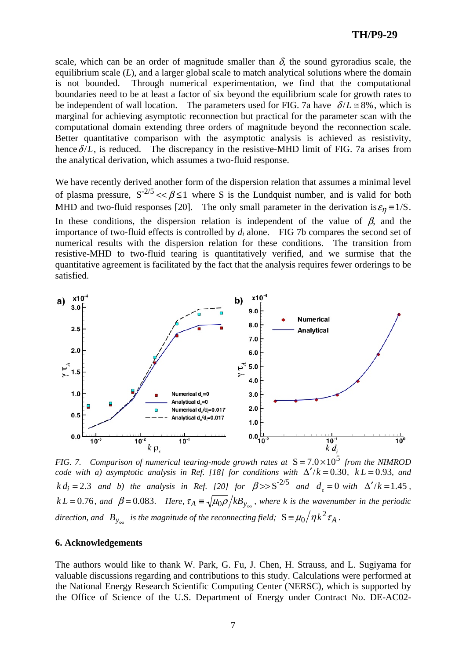### **TH/P9-29**

scale, which can be an order of magnitude smaller than  $\delta$ , the sound gyroradius scale, the equilibrium scale (*L*), and a larger global scale to match analytical solutions where the domain is not bounded. Through numerical experimentation, we find that the computational boundaries need to be at least a factor of six beyond the equilibrium scale for growth rates to be independent of wall location. The parameters used for FIG. 7a have  $\delta / L \approx 8\%$ , which is marginal for achieving asymptotic reconnection but practical for the parameter scan with the computational domain extending three orders of magnitude beyond the reconnection scale. Better quantitative comparison with the asymptotic analysis is achieved as resistivity, hence  $\delta /L$ , is reduced. The discrepancy in the resistive-MHD limit of FIG. 7a arises from the analytical derivation, which assumes a two-fluid response.

We have recently derived another form of the dispersion relation that assumes a minimal level of plasma pressure,  $S^{-2/5} \ll \beta \le 1$  where S is the Lundquist number, and is valid for both MHD and two-fluid responses [20]. The only small parameter in the derivation is  $\varepsilon_n = 1/S$ . In these conditions, the dispersion relation is independent of the value of  $\beta$ , and the importance of two-fluid effects is controlled by *di* alone. FIG 7b compares the second set of numerical results with the dispersion relation for these conditions. The transition from resistive-MHD to two-fluid tearing is quantitatively verified, and we surmise that the quantitative agreement is facilitated by the fact that the analysis requires fewer orderings to be satisfied.



*FIG. 7. Comparison of numerical tearing-mode growth rates at*  $S = 7.0 \times 10^5$  *from the NIMROD code with a) asymptotic analysis in Ref.* [18] for conditions with  $\Delta'/k = 0.30$ ,  $k = 0.93$ , and *k*  $d_i = 2.3$  *and b) the analysis in Ref.* [20] for  $\beta >> S^{-2/5}$  *and*  $d_e = 0$  *with*  $\Delta'/k = 1.45$ , *k*  $L = 0.76$ *, and*  $\beta = 0.083$ *. Here,*  $\tau_A = \sqrt{\mu_0 \rho}/k B_{y_{\infty}}$ *, where k is the wavenumber in the periodic* direction, and  $B_{y_{\infty}}$  is the magnitude of the reconnecting field;  $S = \mu_0 / \eta k^2 \tau_A$ .

#### **6. Acknowledgements**

The authors would like to thank W. Park, G. Fu, J. Chen, H. Strauss, and L. Sugiyama for valuable discussions regarding and contributions to this study. Calculations were performed at the National Energy Research Scientific Computing Center (NERSC), which is supported by the Office of Science of the U.S. Department of Energy under Contract No. DE-AC02